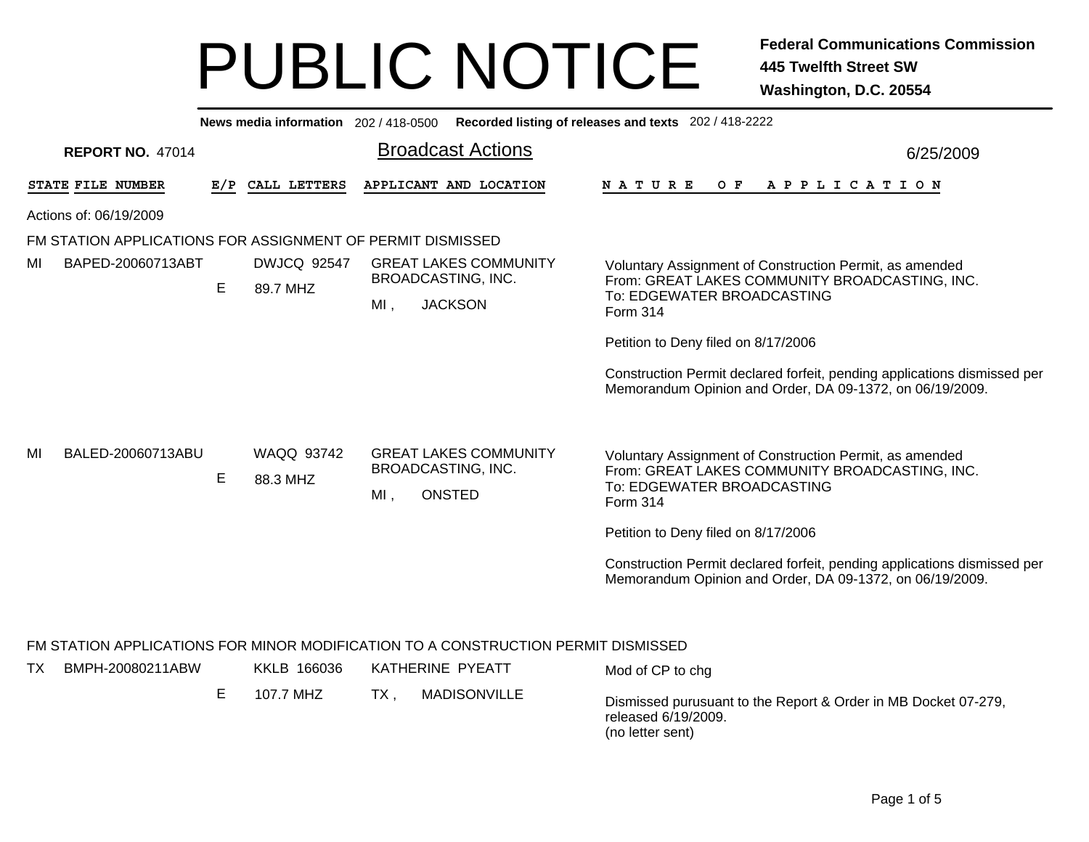|     |                                                                                   |     | News media information 202 / 418-0500 |        |                                                                            | Recorded listing of releases and texts 202 / 418-2222                                                                                               |  |  |  |  |
|-----|-----------------------------------------------------------------------------------|-----|---------------------------------------|--------|----------------------------------------------------------------------------|-----------------------------------------------------------------------------------------------------------------------------------------------------|--|--|--|--|
|     | <b>REPORT NO. 47014</b>                                                           |     |                                       |        | <b>Broadcast Actions</b>                                                   | 6/25/2009                                                                                                                                           |  |  |  |  |
|     | STATE FILE NUMBER                                                                 | E/P | CALL LETTERS                          |        | APPLICANT AND LOCATION                                                     | <b>NATURE</b><br>O F<br>A P P L I C A T I O N                                                                                                       |  |  |  |  |
|     | Actions of: 06/19/2009                                                            |     |                                       |        |                                                                            |                                                                                                                                                     |  |  |  |  |
|     | FM STATION APPLICATIONS FOR ASSIGNMENT OF PERMIT DISMISSED                        |     |                                       |        |                                                                            |                                                                                                                                                     |  |  |  |  |
| MI  | BAPED-20060713ABT                                                                 |     | <b>DWJCQ 92547</b>                    |        | <b>GREAT LAKES COMMUNITY</b>                                               | Voluntary Assignment of Construction Permit, as amended                                                                                             |  |  |  |  |
|     |                                                                                   | E   | 89.7 MHZ                              |        | <b>BROADCASTING, INC.</b>                                                  | From: GREAT LAKES COMMUNITY BROADCASTING, INC.<br>To: EDGEWATER BROADCASTING                                                                        |  |  |  |  |
|     |                                                                                   |     |                                       | $MI$ , | <b>JACKSON</b>                                                             | Form 314                                                                                                                                            |  |  |  |  |
|     |                                                                                   |     |                                       |        |                                                                            | Petition to Deny filed on 8/17/2006                                                                                                                 |  |  |  |  |
|     |                                                                                   |     |                                       |        |                                                                            | Construction Permit declared forfeit, pending applications dismissed per<br>Memorandum Opinion and Order, DA 09-1372, on 06/19/2009.                |  |  |  |  |
| MI  | BALED-20060713ABU                                                                 | E   | <b>WAQQ 93742</b><br>88.3 MHZ         | $MI$ , | <b>GREAT LAKES COMMUNITY</b><br><b>BROADCASTING, INC.</b><br><b>ONSTED</b> | Voluntary Assignment of Construction Permit, as amended<br>From: GREAT LAKES COMMUNITY BROADCASTING, INC.<br>To: EDGEWATER BROADCASTING<br>Form 314 |  |  |  |  |
|     |                                                                                   |     |                                       |        |                                                                            | Petition to Deny filed on 8/17/2006                                                                                                                 |  |  |  |  |
|     |                                                                                   |     |                                       |        |                                                                            | Construction Permit declared forfeit, pending applications dismissed per<br>Memorandum Opinion and Order, DA 09-1372, on 06/19/2009.                |  |  |  |  |
|     | FM STATION APPLICATIONS FOR MINOR MODIFICATION TO A CONSTRUCTION PERMIT DISMISSED |     |                                       |        |                                                                            |                                                                                                                                                     |  |  |  |  |
| TX. | BMPH-20080211ABW                                                                  |     | KKLB 166036                           |        | KATHERINE PYEATT                                                           | Mod of CP to chg                                                                                                                                    |  |  |  |  |
|     |                                                                                   | E   | 107.7 MHZ                             | $TX$ , | <b>MADISONVILLE</b>                                                        | Dismissed purusuant to the Report & Order in MB Docket 07-279,<br>released 6/19/2009.                                                               |  |  |  |  |

(no letter sent)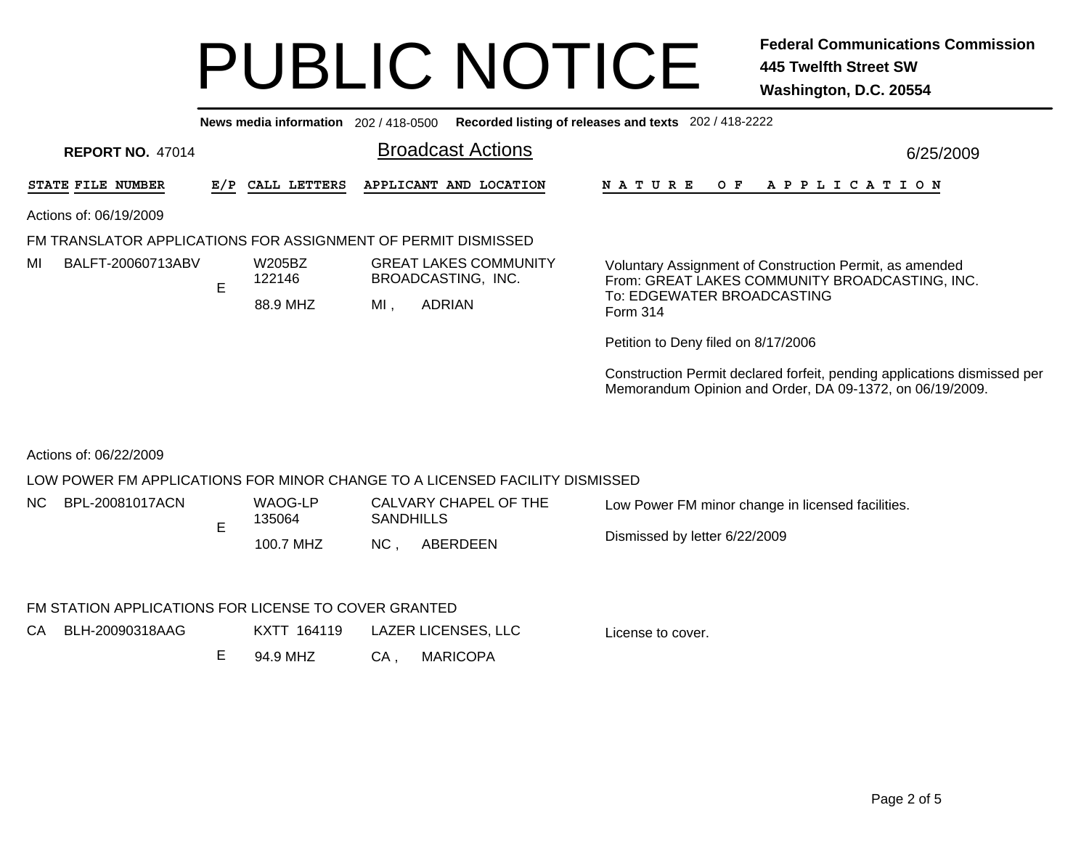Broadcast Actions 6/25/2009**News media information** 202 / 418-0500 **Recorded listing of releases and texts** 202 / 418-2222 **REPORT NO.** 47014STATE FILE NUMBER **FILE NUMBER E/P CALL LETTERS APPLICANT AND LOCATION N A T U R E O F A P P L I C A T I O N** Actions of: 06/19/2009FM TRANSLATOR APPLICATIONS FOR ASSIGNMENT OF PERMIT DISMISSED88.9 MHZ , ADRIAN EMI. Voluntary Assignment of Construction Permit, as amended From: GREAT LAKES COMMUNITY BROADCASTING, INC. To: EDGEWATER BROADCASTINGForm 314Petition to Deny filed on 8/17/2006 Construction Permit declared forfeit, pending applications dismissed per Memorandum Opinion and Order, DA 09-1372, on 06/19/2009. GREAT LAKES COMMUNITYBROADCASTING, INC. W205BZ122146MIBALFT-20060713ABV

Actions of: 06/22/2009

### LOW POWER FM APPLICATIONS FOR MINOR CHANGE TO A LICENSED FACILITY DISMISSED

| NC | BPL-20081017ACN | WAOG-LP<br>135064 | CALVARY CHAPEL OF THE<br><b>SANDHILLS</b> |     |          | Low Power FM minor change in licensed facilities. |
|----|-----------------|-------------------|-------------------------------------------|-----|----------|---------------------------------------------------|
|    |                 | 100.7 MHZ         |                                           | NC. | ABERDEEN | Dismissed by letter 6/22/2009                     |

### FM STATION APPLICATIONS FOR LICENSE TO COVER GRANTED

| CA BLH-20090318AAG | KXTT 164119 |     | LAZER LICENSES, LLC | License to cover. |
|--------------------|-------------|-----|---------------------|-------------------|
|                    | 94.9 MHZ    | CA. | MARICOPA            |                   |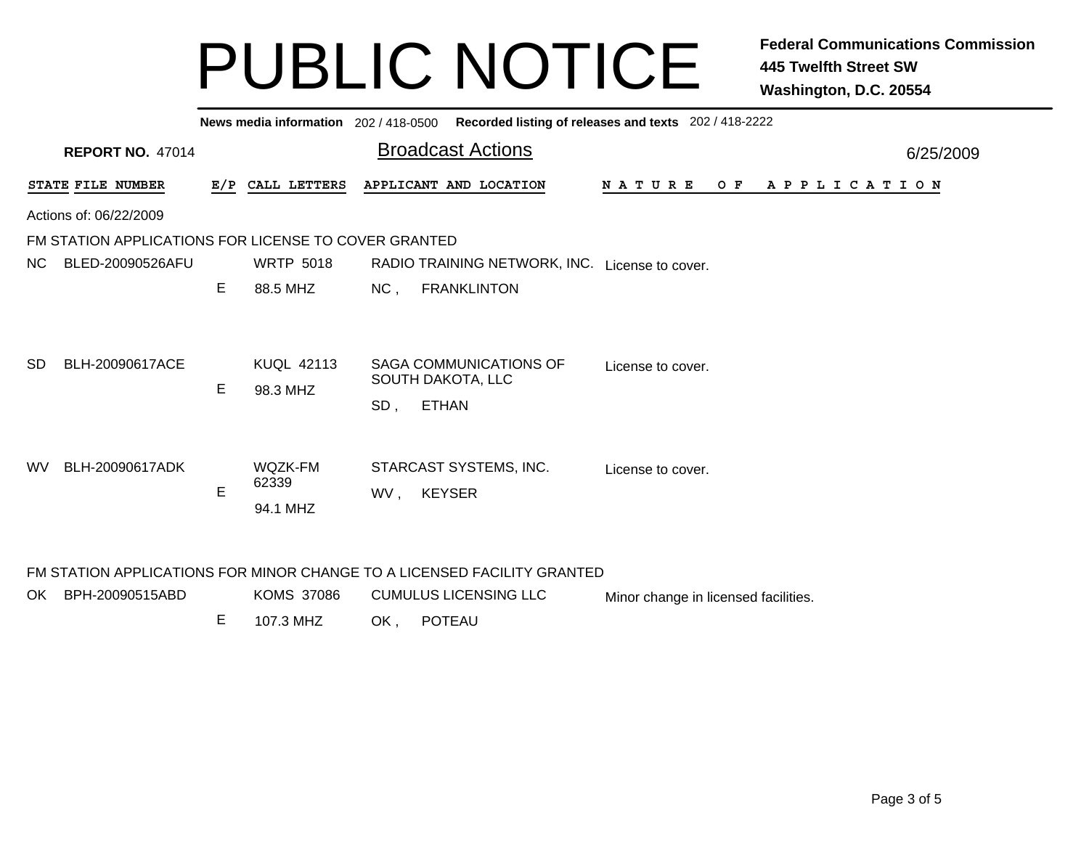|                                                                         |                                                      |    |                               |     | News media information 202 / 418-0500 Recorded listing of releases and texts 202 / 418-2222 |                                      |           |  |  |  |  |
|-------------------------------------------------------------------------|------------------------------------------------------|----|-------------------------------|-----|---------------------------------------------------------------------------------------------|--------------------------------------|-----------|--|--|--|--|
|                                                                         | <b>REPORT NO. 47014</b>                              |    |                               |     | <b>Broadcast Actions</b>                                                                    |                                      | 6/25/2009 |  |  |  |  |
|                                                                         | STATE FILE NUMBER                                    |    | E/P CALL LETTERS              |     | APPLICANT AND LOCATION                                                                      | N A T U R E<br>OF APPLICATION        |           |  |  |  |  |
|                                                                         | Actions of: 06/22/2009                               |    |                               |     |                                                                                             |                                      |           |  |  |  |  |
|                                                                         | FM STATION APPLICATIONS FOR LICENSE TO COVER GRANTED |    |                               |     |                                                                                             |                                      |           |  |  |  |  |
| NC.                                                                     | BLED-20090526AFU                                     |    | <b>WRTP 5018</b>              |     | RADIO TRAINING NETWORK, INC. License to cover.                                              |                                      |           |  |  |  |  |
|                                                                         |                                                      | E. | 88.5 MHZ                      | NC, | <b>FRANKLINTON</b>                                                                          |                                      |           |  |  |  |  |
| <b>SD</b>                                                               | BLH-20090617ACE                                      | E. | <b>KUQL 42113</b><br>98.3 MHZ | SD, | <b>SAGA COMMUNICATIONS OF</b><br>SOUTH DAKOTA, LLC<br><b>ETHAN</b>                          | License to cover.                    |           |  |  |  |  |
| <b>WV</b>                                                               | BLH-20090617ADK                                      | E  | WQZK-FM<br>62339<br>94.1 MHZ  | WV, | STARCAST SYSTEMS, INC.<br><b>KEYSER</b>                                                     | License to cover.                    |           |  |  |  |  |
| FM STATION APPLICATIONS FOR MINOR CHANGE TO A LICENSED FACILITY GRANTED |                                                      |    |                               |     |                                                                                             |                                      |           |  |  |  |  |
|                                                                         | OK BPH-20090515ABD                                   |    | <b>KOMS 37086</b>             |     | <b>CUMULUS LICENSING LLC</b>                                                                | Minor change in licensed facilities. |           |  |  |  |  |

E 107.3 MHZZ OK, POTEAU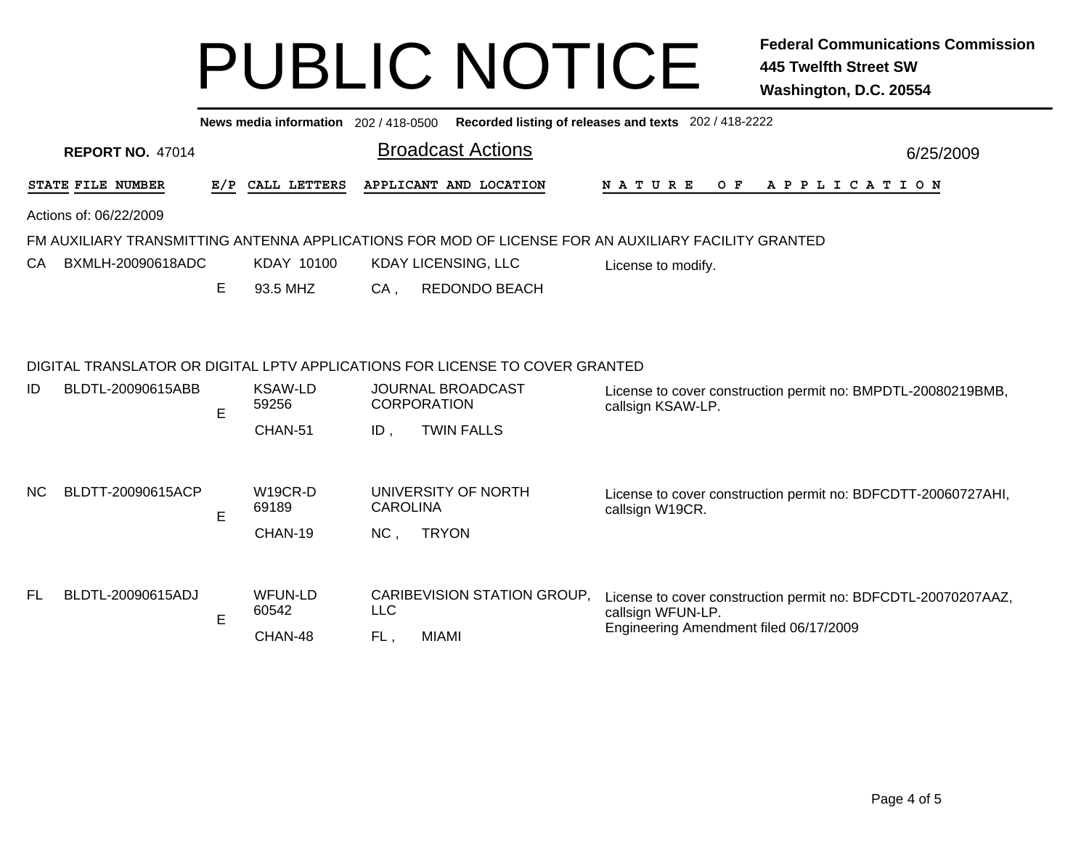|     |                                                                  |     | News media information 202 / 418-0500 |                        |                                                                                                                                                     | Recorded listing of releases and texts 202 / 418-2222                                                                        |  |  |  |  |  |  |
|-----|------------------------------------------------------------------|-----|---------------------------------------|------------------------|-----------------------------------------------------------------------------------------------------------------------------------------------------|------------------------------------------------------------------------------------------------------------------------------|--|--|--|--|--|--|
|     | <b>Broadcast Actions</b><br><b>REPORT NO. 47014</b><br>6/25/2009 |     |                                       |                        |                                                                                                                                                     |                                                                                                                              |  |  |  |  |  |  |
|     | STATE FILE NUMBER                                                | E/P | CALL LETTERS                          |                        | APPLICANT AND LOCATION                                                                                                                              | N A T U R E<br>O F<br>A P P L I C A T I O N                                                                                  |  |  |  |  |  |  |
|     | Actions of: 06/22/2009                                           |     |                                       |                        |                                                                                                                                                     |                                                                                                                              |  |  |  |  |  |  |
|     |                                                                  |     |                                       |                        |                                                                                                                                                     | FM AUXILIARY TRANSMITTING ANTENNA APPLICATIONS FOR MOD OF LICENSE FOR AN AUXILIARY FACILITY GRANTED                          |  |  |  |  |  |  |
| CA  | BXMLH-20090618ADC                                                |     | KDAY 10100                            |                        | <b>KDAY LICENSING, LLC</b>                                                                                                                          | License to modify.                                                                                                           |  |  |  |  |  |  |
|     |                                                                  | E   | 93.5 MHZ                              | $CA$ ,                 | REDONDO BEACH                                                                                                                                       |                                                                                                                              |  |  |  |  |  |  |
| ID  | BLDTL-20090615ABB                                                | E   | <b>KSAW-LD</b><br>59256<br>CHAN-51    | $ID$ .                 | DIGITAL TRANSLATOR OR DIGITAL LPTV APPLICATIONS FOR LICENSE TO COVER GRANTED<br><b>JOURNAL BROADCAST</b><br><b>CORPORATION</b><br><b>TWIN FALLS</b> | License to cover construction permit no: BMPDTL-20080219BMB,<br>callsign KSAW-LP.                                            |  |  |  |  |  |  |
| NC. | BLDTT-20090615ACP                                                | E   | W19CR-D<br>69189<br>CHAN-19           | <b>CAROLINA</b><br>NC, | UNIVERSITY OF NORTH<br><b>TRYON</b>                                                                                                                 | License to cover construction permit no: BDFCDTT-20060727AHI,<br>callsign W19CR.                                             |  |  |  |  |  |  |
| FL. | BLDTL-20090615ADJ                                                | E   | <b>WFUN-LD</b><br>60542<br>CHAN-48    | <b>LLC</b><br>FL,      | CARIBEVISION STATION GROUP,<br><b>MIAMI</b>                                                                                                         | License to cover construction permit no: BDFCDTL-20070207AAZ,<br>callsign WFUN-LP.<br>Engineering Amendment filed 06/17/2009 |  |  |  |  |  |  |